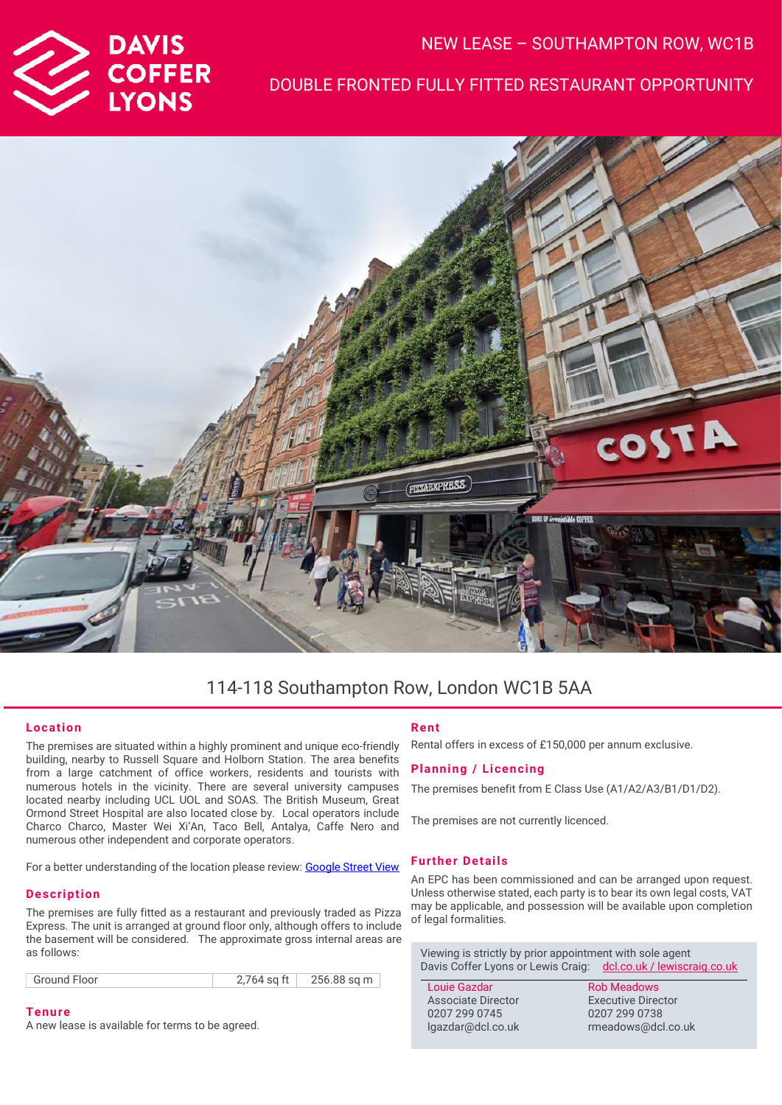

## NEW LEASE – SOUTHAMPTON ROW, WC1B

## DOUBLE FRONTED FULLY FITTED RESTAURANT OPPORTUNITY



# 114-118 Southampton Row, London WC1B 5AA

#### **Location**

The premises are situated within a highly prominent and unique eco-friendly building, nearby to Russell Square and Holborn Station. The area benefits from a large catchment of office workers, residents and tourists with numerous hotels in the vicinity. There are several university campuses located nearby including UCL UOL and SOAS. The British Museum, Great Ormond Street Hospital are also located close by. Local operators include Charco Charco, Master Wei Xi'An, Taco Bell, Antalya, Caffe Nero and numerous other independent and corporate operators.

For a better understanding of the location please review[: Google Street View](https://www.google.com/maps/place/114-118+Southampton+Row,+London+WC1B+5AA/@51.520493,-0.1229034,3a,75y,60.6h,90t/data=!3m7!1e1!3m5!1s9cH_P5xQTHQ_ILpnvqGBSQ!2e0!6shttps:%2F%2Fstreetviewpixels-pa.googleapis.com%2Fv1%2Fthumbnail%3Fpanoid%3D9cH_P5xQTHQ_ILpnvqGBSQ%26cb_client%3Dsearch.gws-prod.gps%26w%3D86%26h%3D86%26yaw%3D60.601677%26pitch%3D0%26thumbfov%3D100!7i16384!8i8192!4m5!3m4!1s0x48761b36a5896595:0x575162877eea0f3b!8m2!3d51.5205803!4d-0.122664)

#### **Description**

The premises are fully fitted as a restaurant and previously traded as Pizza Express. The unit is arranged at ground floor only, although offers to include the basement will be considered. The approximate gross internal areas are as follows:

**Tenure** A new lease is available for terms to be agreed.

### **Rent**

Rental offers in excess of £150,000 per annum exclusive.

#### **Planning / Licencing**

The premises benefit from E Class Use (A1/A2/A3/B1/D1/D2).

The premises are not currently licenced.

#### **Further Details**

An EPC has been commissioned and can be arranged upon request. Unless otherwise stated, each party is to bear its own legal costs, VAT may be applicable, and possession will be available upon completion of legal formalities.

Viewing is strictly by prior appointment with sole agent Davis Coffer Lyons or Lewis Craig: [dcl.co.uk](http://www.dcl.co.uk/) / lewiscraig.co.uk

Louie Gazdar Associate Director 0207 299 0745 lgazdar@dcl.co.uk

Rob Meadows Executive Director 0207 299 0738 rmeadows@dcl.co.uk